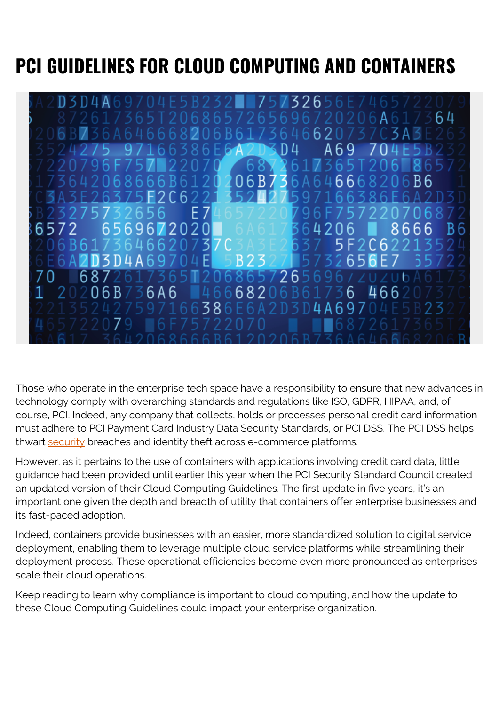# **PCI GUIDELINES FOR CLOUD COMPUTING AND CONTAINERS**



Those who operate in the enterprise tech space have a responsibility to ensure that new advances in technology comply with overarching standards and regulations like ISO, GDPR, HIPAA, and, of course, PCI. Indeed, any company that collects, holds or processes personal credit card information must adhere to PCI Payment Card Industry Data Security Standards, or PCI DSS. The PCI DSS helps thwart [security](https://blogs.bmc.com/blogs/security-vulnerability-vs-threat-vs-risk-whats-difference/) breaches and identity theft across e-commerce platforms.

However, as it pertains to the use of containers with applications involving credit card data, little guidance had been provided until earlier this year when the PCI Security Standard Council created an updated version of their Cloud Computing Guidelines. The first update in five years, it's an important one given the depth and breadth of utility that containers offer enterprise businesses and its fast-paced adoption.

Indeed, containers provide businesses with an easier, more standardized solution to digital service deployment, enabling them to leverage multiple cloud service platforms while streamlining their deployment process. These operational efficiencies become even more pronounced as enterprises scale their cloud operations.

Keep reading to learn why compliance is important to cloud computing, and how the update to these Cloud Computing Guidelines could impact your enterprise organization.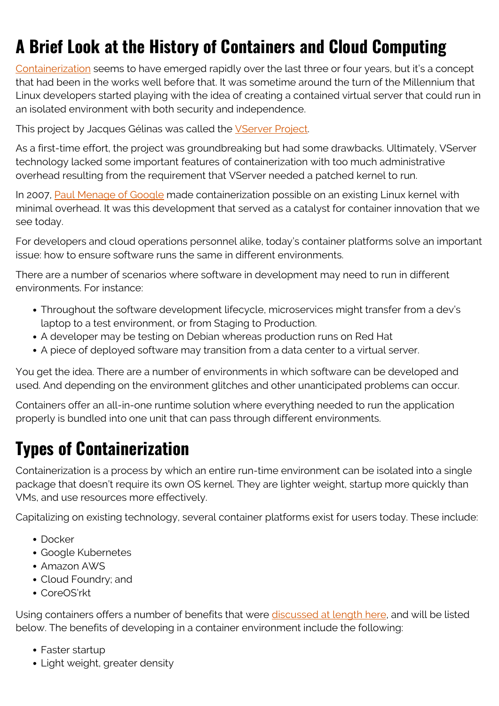## **A Brief Look at the History of Containers and Cloud Computing**

[Containerization](https://blogs.bmc.com/blogs/what-is-a-container-containerization-explained/) seems to have emerged rapidly over the last three or four years, but it's a concept that had been in the works well before that. It was sometime around the turn of the Millennium that Linux developers started playing with the idea of creating a contained virtual server that could run in an isolated environment with both security and independence.

This project by Jacques Gélinas was called the [VServer Project](https://www.csm.ornl.gov/oscar05/proceedings/desLigneris-vserver-slides.pdf).

As a first-time effort, the project was groundbreaking but had some drawbacks. Ultimately, VServer technology lacked some important features of containerization with too much administrative overhead resulting from the requirement that VServer needed a patched kernel to run.

In 2007, [Paul Menage of Google](https://www.kernel.org/doc/ols/2007/ols2007v2-pages-45-58.pdf) made containerization possible on an existing Linux kernel with minimal overhead. It was this development that served as a catalyst for container innovation that we see today.

For developers and cloud operations personnel alike, today's container platforms solve an important issue: how to ensure software runs the same in different environments.

There are a number of scenarios where software in development may need to run in different environments. For instance:

- Throughout the software development lifecycle, microservices might transfer from a dev's laptop to a test environment, or from Staging to Production.
- A developer may be testing on Debian whereas production runs on Red Hat
- A piece of deployed software may transition from a data center to a virtual server.

You get the idea. There are a number of environments in which software can be developed and used. And depending on the environment glitches and other unanticipated problems can occur.

Containers offer an all-in-one runtime solution where everything needed to run the application properly is bundled into one unit that can pass through different environments.

#### **Types of Containerization**

Containerization is a process by which an entire run-time environment can be isolated into a single package that doesn't require its own OS kernel. They are lighter weight, startup more quickly than VMs, and use resources more effectively.

Capitalizing on existing technology, several container platforms exist for users today. These include:

- Docker
- Google Kubernetes
- Amazon AWS
- Cloud Foundry; and
- CoreOS'rkt

Using containers offers a number of benefits that were [discussed at length here,](https://blogs.bmc.com/blogs/what-is-a-container-containerization-explained/) and will be listed below. The benefits of developing in a container environment include the following:

- Faster startup
- Light weight, greater density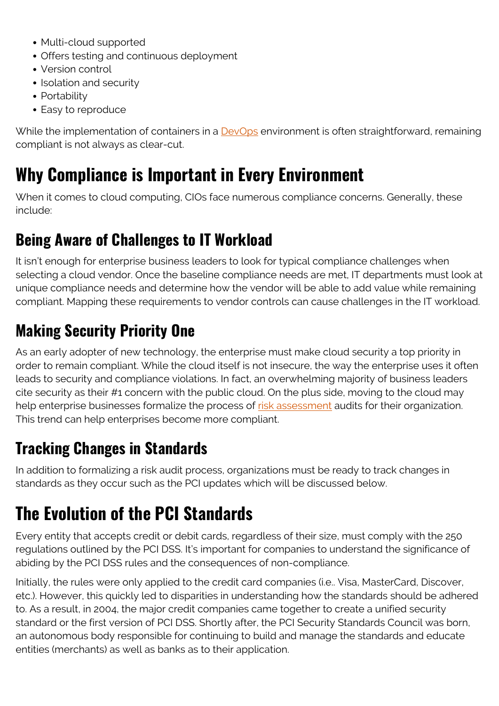- Multi-cloud supported
- Offers testing and continuous deployment
- Version control
- Isolation and security
- Portability
- Easy to reproduce

While the implementation of containers in a [DevOps](https://blogs.bmc.com/blogs/devops-basics-introduction/) environment is often straightforward, remaining compliant is not always as clear-cut.

### **Why Compliance is Important in Every Environment**

When it comes to cloud computing, CIOs face numerous compliance concerns. Generally, these include:

#### **Being Aware of Challenges to IT Workload**

It isn't enough for enterprise business leaders to look for typical compliance challenges when selecting a cloud vendor. Once the baseline compliance needs are met, IT departments must look at unique compliance needs and determine how the vendor will be able to add value while remaining compliant. Mapping these requirements to vendor controls can cause challenges in the IT workload.

#### **Making Security Priority One**

As an early adopter of new technology, the enterprise must make cloud security a top priority in order to remain compliant. While the cloud itself is not insecure, the way the enterprise uses it often leads to security and compliance violations. In fact, an overwhelming majority of business leaders cite security as their #1 concern with the public cloud. On the plus side, moving to the cloud may help enterprise businesses formalize the process of [risk assessment](https://blogs.bmc.com/blogs/risk-assessment-vs-vulnerability-assessment/) audits for their organization. This trend can help enterprises become more compliant.

#### **Tracking Changes in Standards**

In addition to formalizing a risk audit process, organizations must be ready to track changes in standards as they occur such as the PCI updates which will be discussed below.

### **The Evolution of the PCI Standards**

Every entity that accepts credit or debit cards, regardless of their size, must comply with the 250 regulations outlined by the PCI DSS. It's important for companies to understand the significance of abiding by the PCI DSS rules and the consequences of non-compliance.

Initially, the rules were only applied to the credit card companies (i.e.. Visa, MasterCard, Discover, etc.). However, this quickly led to disparities in understanding how the standards should be adhered to. As a result, in 2004, the major credit companies came together to create a unified security standard or the first version of PCI DSS. Shortly after, the PCI Security Standards Council was born, an autonomous body responsible for continuing to build and manage the standards and educate entities (merchants) as well as banks as to their application.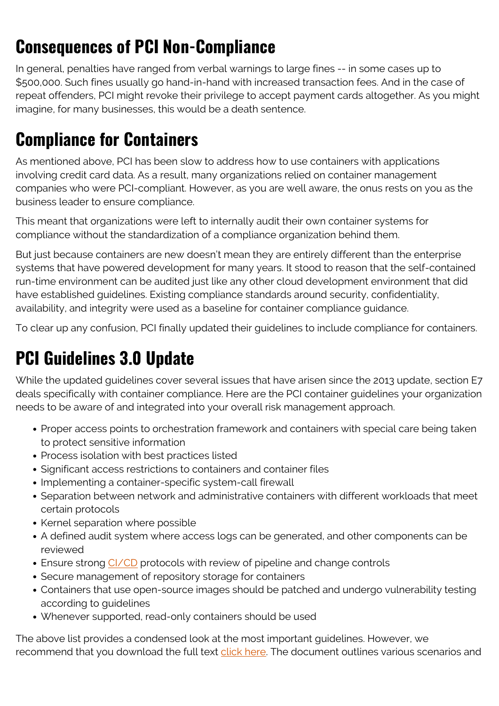## **Consequences of PCI Non-Compliance**

In general, penalties have ranged from verbal warnings to large fines -- in some cases up to \$500,000. Such fines usually go hand-in-hand with increased transaction fees. And in the case of repeat offenders, PCI might revoke their privilege to accept payment cards altogether. As you might imagine, for many businesses, this would be a death sentence.

### **Compliance for Containers**

As mentioned above, PCI has been slow to address how to use containers with applications involving credit card data. As a result, many organizations relied on container management companies who were PCI-compliant. However, as you are well aware, the onus rests on you as the business leader to ensure compliance.

This meant that organizations were left to internally audit their own container systems for compliance without the standardization of a compliance organization behind them.

But just because containers are new doesn't mean they are entirely different than the enterprise systems that have powered development for many years. It stood to reason that the self-contained run-time environment can be audited just like any other cloud development environment that did have established guidelines. Existing compliance standards around security, confidentiality, availability, and integrity were used as a baseline for container compliance guidance.

To clear up any confusion, PCI finally updated their guidelines to include compliance for containers.

## **PCI Guidelines 3.0 Update**

While the updated guidelines cover several issues that have arisen since the 2013 update, section E7 deals specifically with container compliance. Here are the PCI container guidelines your organization needs to be aware of and integrated into your overall risk management approach.

- Proper access points to orchestration framework and containers with special care being taken to protect sensitive information
- Process isolation with best practices listed
- Significant access restrictions to containers and container files
- Implementing a container-specific system-call firewall
- Separation between network and administrative containers with different workloads that meet certain protocols
- Kernel separation where possible
- A defined audit system where access logs can be generated, and other components can be reviewed
- Ensure strong [CI/CD](https://blogs.bmc.com/blogs/what-is-ci-cd/) protocols with review of pipeline and change controls
- Secure management of repository storage for containers
- Containers that use open-source images should be patched and undergo vulnerability testing according to guidelines
- Whenever supported, read-only containers should be used

The above list provides a condensed look at the most important guidelines. However, we recommend that you download the full text [click here](https://www.pcisecuritystandards.org/pdfs/PCI_SSC_Cloud_Guidelines_v3.pdf). The document outlines various scenarios and